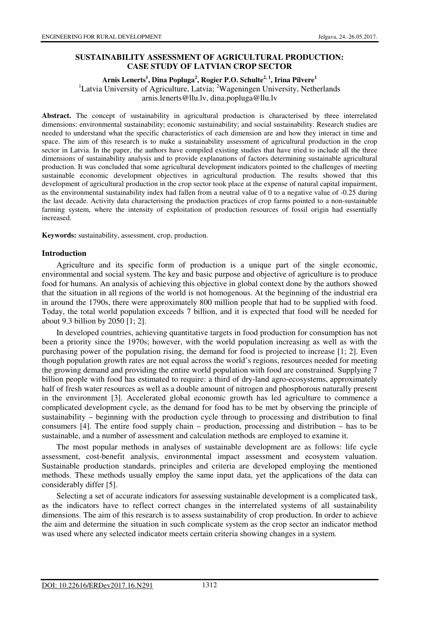## **SUSTAINABILITY ASSESSMENT OF AGRICULTURAL PRODUCTION: CASE STUDY OF LATVIAN CROP SECTOR**

### **Arnis Lenerts<sup>1</sup> , Dina Popluga<sup>2</sup> , Rogier P.O. Schulte2, 1, Irina Pilvere<sup>1</sup>**

<sup>1</sup>Latvia University of Agriculture, Latvia; <sup>2</sup>Wageningen University, Netherlands arnis.lenerts@llu.lv, dina.popluga@llu.lv

**Abstract.** The concept of sustainability in agricultural production is characterised by three interrelated dimensions: environmental sustainability; economic sustainability; and social sustainability. Research studies are needed to understand what the specific characteristics of each dimension are and how they interact in time and space. The aim of this research is to make a sustainability assessment of agricultural production in the crop sector in Latvia. In the paper, the authors have compiled existing studies that have tried to include all the three dimensions of sustainability analysis and to provide explanations of factors determining sustainable agricultural production. It was concluded that some agricultural development indicators pointed to the challenges of meeting sustainable economic development objectives in agricultural production. The results showed that this development of agricultural production in the crop sector took place at the expense of natural capital impairment, as the environmental sustainability index had fallen from a neutral value of 0 to a negative value of -0.25 during the last decade. Activity data characterising the production practices of crop farms pointed to a non-sustainable farming system, where the intensity of exploitation of production resources of fossil origin had essentially increased.

**Keywords:** sustainability, assessment, crop, production.

### **Introduction**

Agriculture and its specific form of production is a unique part of the single economic, environmental and social system. The key and basic purpose and objective of agriculture is to produce food for humans. An analysis of achieving this objective in global context done by the authors showed that the situation in all regions of the world is not homogenous. At the beginning of the industrial era in around the 1790s, there were approximately 800 million people that had to be supplied with food. Today, the total world population exceeds 7 billion, and it is expected that food will be needed for about 9.3 billion by 2050 [1; 2].

In developed countries, achieving quantitative targets in food production for consumption has not been a priority since the 1970s; however, with the world population increasing as well as with the purchasing power of the population rising, the demand for food is projected to increase [1; 2]. Even though population growth rates are not equal across the world's regions, resources needed for meeting the growing demand and providing the entire world population with food are constrained. Supplying 7 billion people with food has estimated to require: a third of dry-land agro-ecosystems, approximately half of fresh water resources as well as a double amount of nitrogen and phosphorous naturally present in the environment [3]. Accelerated global economic growth has led agriculture to commence a complicated development cycle, as the demand for food has to be met by observing the principle of sustainability – beginning with the production cycle through to processing and distribution to final consumers [4]. The entire food supply chain – production, processing and distribution – has to be sustainable, and a number of assessment and calculation methods are employed to examine it.

The most popular methods in analyses of sustainable development are as follows: life cycle assessment, cost-benefit analysis, environmental impact assessment and ecosystem valuation. Sustainable production standards, principles and criteria are developed employing the mentioned methods. These methods usually employ the same input data, yet the applications of the data can considerably differ [5].

Selecting a set of accurate indicators for assessing sustainable development is a complicated task, as the indicators have to reflect correct changes in the interrelated systems of all sustainability dimensions. The aim of this research is to assess sustainability of crop production. In order to achieve the aim and determine the situation in such complicate system as the crop sector an indicator method was used where any selected indicator meets certain criteria showing changes in a system.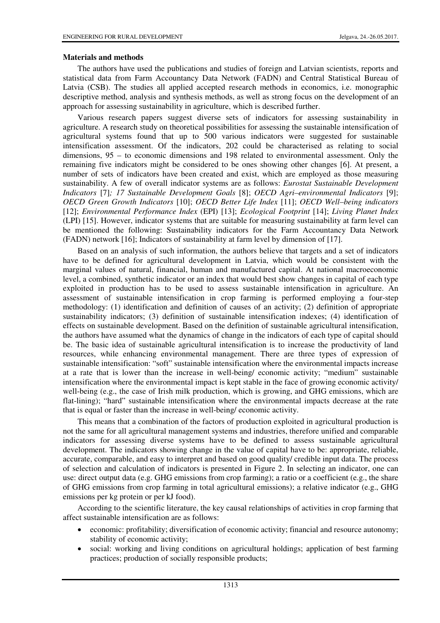## **Materials and methods**

The authors have used the publications and studies of foreign and Latvian scientists, reports and statistical data from Farm Accountancy Data Network (FADN) and Central Statistical Bureau of Latvia (CSB). The studies all applied accepted research methods in economics, i.e. monographic descriptive method, analysis and synthesis methods, as well as strong focus on the development of an approach for assessing sustainability in agriculture, which is described further.

Various research papers suggest diverse sets of indicators for assessing sustainability in agriculture. A research study on theoretical possibilities for assessing the sustainable intensification of agricultural systems found that up to 500 various indicators were suggested for sustainable intensification assessment. Of the indicators, 202 could be characterised as relating to social dimensions, 95 – to economic dimensions and 198 related to environmental assessment. Only the remaining five indicators might be considered to be ones showing other changes [6]. At present, a number of sets of indicators have been created and exist, which are employed as those measuring sustainability. A few of overall indicator systems are as follows: *Eurostat Sustainable Development Indicators* [7]*; 17 Sustainable Development Goals* [8]; *OECD Agri–environmental Indicators* [9]; *OECD Green Growth Indicators* [10]; *OECD Better Life Index* [11]; *OECD Well–being indicators*  [12]; *Environmental Performance Index* (EPI) [13]; *Ecological Footprint* [14]; *Living Planet Index* (LPI) [15]. However, indicator systems that are suitable for measuring sustainability at farm level can be mentioned the following: Sustainability indicators for the Farm Accountancy Data Network (FADN) network [16]; Indicators of sustainability at farm level by dimension of [17].

Based on an analysis of such information, the authors believe that targets and a set of indicators have to be defined for agricultural development in Latvia, which would be consistent with the marginal values of natural, financial, human and manufactured capital. At national macroeconomic level, a combined, synthetic indicator or an index that would best show changes in capital of each type exploited in production has to be used to assess sustainable intensification in agriculture. An assessment of sustainable intensification in crop farming is performed employing a four-step methodology: (1) identification and definition of causes of an activity; (2) definition of appropriate sustainability indicators; (3) definition of sustainable intensification indexes; (4) identification of effects on sustainable development. Based on the definition of sustainable agricultural intensification, the authors have assumed what the dynamics of change in the indicators of each type of capital should be. The basic idea of sustainable agricultural intensification is to increase the productivity of land resources, while enhancing environmental management. There are three types of expression of sustainable intensification: "soft" sustainable intensification where the environmental impacts increase at a rate that is lower than the increase in well-being/ economic activity; "medium" sustainable intensification where the environmental impact is kept stable in the face of growing economic activity/ well-being (e.g., the case of Irish milk production, which is growing, and GHG emissions, which are flat-lining); "hard" sustainable intensification where the environmental impacts decrease at the rate that is equal or faster than the increase in well-being/ economic activity.

This means that a combination of the factors of production exploited in agricultural production is not the same for all agricultural management systems and industries, therefore unified and comparable indicators for assessing diverse systems have to be defined to assess sustainable agricultural development. The indicators showing change in the value of capital have to be: appropriate, reliable, accurate, comparable, and easy to interpret and based on good quality/ credible input data. The process of selection and calculation of indicators is presented in Figure 2. In selecting an indicator, one can use: direct output data (e.g. GHG emissions from crop farming); a ratio or a coefficient (e.g., the share of GHG emissions from crop farming in total agricultural emissions); a relative indicator (e.g., GHG emissions per kg protein or per kJ food).

According to the scientific literature, the key causal relationships of activities in crop farming that affect sustainable intensification are as follows:

- economic: profitability; diversification of economic activity; financial and resource autonomy; stability of economic activity;
- social: working and living conditions on agricultural holdings; application of best farming practices; production of socially responsible products;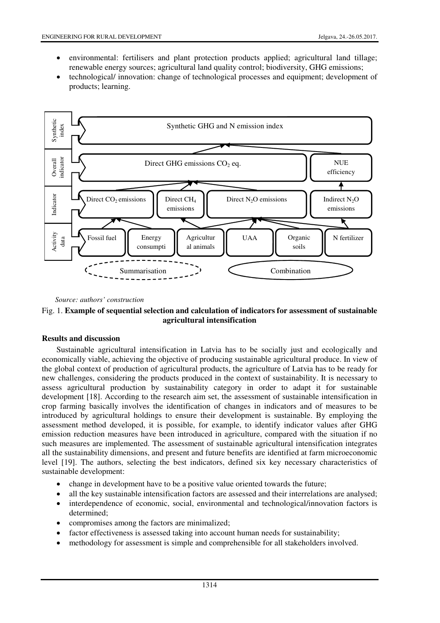- environmental: fertilisers and plant protection products applied; agricultural land tillage; renewable energy sources; agricultural land quality control; biodiversity, GHG emissions;
- technological/ innovation: change of technological processes and equipment; development of products; learning.



*Source: authors' construction* 



## **Results and discussion**

Sustainable agricultural intensification in Latvia has to be socially just and ecologically and economically viable, achieving the objective of producing sustainable agricultural produce. In view of the global context of production of agricultural products, the agriculture of Latvia has to be ready for new challenges, considering the products produced in the context of sustainability. It is necessary to assess agricultural production by sustainability category in order to adapt it for sustainable development [18]. According to the research aim set, the assessment of sustainable intensification in crop farming basically involves the identification of changes in indicators and of measures to be introduced by agricultural holdings to ensure their development is sustainable. By employing the assessment method developed, it is possible, for example, to identify indicator values after GHG emission reduction measures have been introduced in agriculture, compared with the situation if no such measures are implemented. The assessment of sustainable agricultural intensification integrates all the sustainability dimensions, and present and future benefits are identified at farm microeconomic level [19]. The authors, selecting the best indicators, defined six key necessary characteristics of sustainable development:

- change in development have to be a positive value oriented towards the future;
- all the key sustainable intensification factors are assessed and their interrelations are analysed;
- interdependence of economic, social, environmental and technological/innovation factors is determined;
- compromises among the factors are minimalized:
- factor effectiveness is assessed taking into account human needs for sustainability;
- methodology for assessment is simple and comprehensible for all stakeholders involved.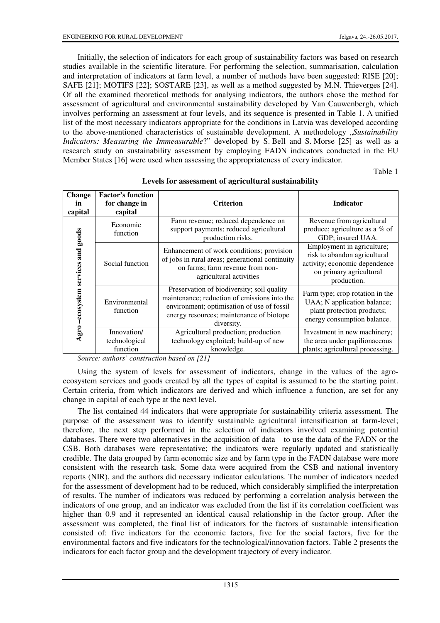Initially, the selection of indicators for each group of sustainability factors was based on research studies available in the scientific literature. For performing the selection, summarisation, calculation and interpretation of indicators at farm level, a number of methods have been suggested: RISE [20]; SAFE [21]; MOTIFS [22]; SOSTARE [23], as well as a method suggested by M.N. Thieverges [24]. Of all the examined theoretical methods for analysing indicators, the authors chose the method for assessment of agricultural and environmental sustainability developed by Van Cauwenbergh, which involves performing an assessment at four levels, and its sequence is presented in Table 1. A unified list of the most necessary indicators appropriate for the conditions in Latvia was developed according to the above-mentioned characteristics of sustainable development. A methodology "*Sustainability Indicators: Measuring the Immeasurable*?" developed by S. Bell and S. Morse [25] as well as a research study on sustainability assessment by employing FADN indicators conducted in the EU Member States [16] were used when assessing the appropriateness of every indicator.

Table 1

| <b>Change</b><br>in<br>capital       | <b>Factor's function</b><br>for change in<br>capital | <b>Criterion</b>                                                                                                                                                                                   | <b>Indicator</b>                                                                                                                      |
|--------------------------------------|------------------------------------------------------|----------------------------------------------------------------------------------------------------------------------------------------------------------------------------------------------------|---------------------------------------------------------------------------------------------------------------------------------------|
| ecosystem services and goods<br>Agro | Economic<br>function                                 | Farm revenue; reduced dependence on<br>support payments; reduced agricultural<br>production risks.                                                                                                 | Revenue from agricultural<br>produce; agriculture as a % of<br>GDP; insured UAA.                                                      |
|                                      | Social function                                      | Enhancement of work conditions; provision<br>of jobs in rural areas; generational continuity<br>on farms; farm revenue from non-<br>agricultural activities                                        | Employment in agriculture;<br>risk to abandon agricultural<br>activity; economic dependence<br>on primary agricultural<br>production. |
|                                      | Environmental<br>function                            | Preservation of biodiversity; soil quality<br>maintenance; reduction of emissions into the<br>environment; optimisation of use of fossil<br>energy resources; maintenance of biotope<br>diversity. | Farm type; crop rotation in the<br>UAA; N application balance;<br>plant protection products;<br>energy consumption balance.           |
|                                      | Innovation/<br>technological<br>function             | Agricultural production; production<br>technology exploited; build-up of new<br>knowledge.                                                                                                         | Investment in new machinery;<br>the area under papilionaceous<br>plants; agricultural processing.                                     |

#### **Levels for assessment of agricultural sustainability**

*Source: authors' construction based on [21]*

Using the system of levels for assessment of indicators, change in the values of the agroecosystem services and goods created by all the types of capital is assumed to be the starting point. Certain criteria, from which indicators are derived and which influence a function, are set for any change in capital of each type at the next level.

The list contained 44 indicators that were appropriate for sustainability criteria assessment. The purpose of the assessment was to identify sustainable agricultural intensification at farm-level; therefore, the next step performed in the selection of indicators involved examining potential databases. There were two alternatives in the acquisition of data – to use the data of the FADN or the CSB. Both databases were representative; the indicators were regularly updated and statistically credible. The data grouped by farm economic size and by farm type in the FADN database were more consistent with the research task. Some data were acquired from the CSB and national inventory reports (NIR), and the authors did necessary indicator calculations. The number of indicators needed for the assessment of development had to be reduced, which considerably simplified the interpretation of results. The number of indicators was reduced by performing a correlation analysis between the indicators of one group, and an indicator was excluded from the list if its correlation coefficient was higher than 0.9 and it represented an identical causal relationship in the factor group. After the assessment was completed, the final list of indicators for the factors of sustainable intensification consisted of: five indicators for the economic factors, five for the social factors, five for the environmental factors and five indicators for the technological/innovation factors. Table 2 presents the indicators for each factor group and the development trajectory of every indicator.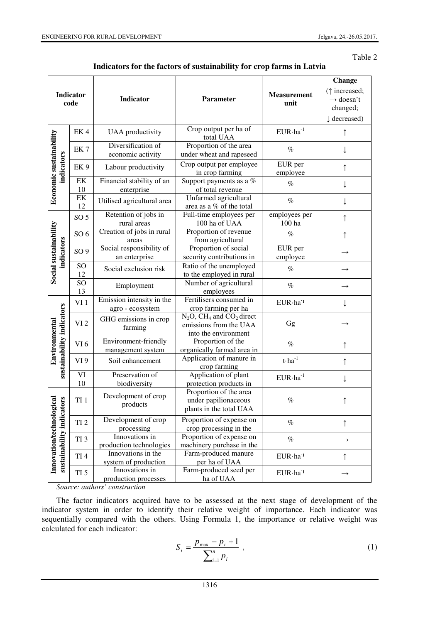#### Table 2

|                                                           |                 |                                               |                                                                                                       |                                                       | <b>Change</b>                                                |
|-----------------------------------------------------------|-----------------|-----------------------------------------------|-------------------------------------------------------------------------------------------------------|-------------------------------------------------------|--------------------------------------------------------------|
| Indicator<br>code                                         |                 | Indicator                                     | Parameter                                                                                             | <b>Measurement</b><br>unit                            | ( $\uparrow$ increased;<br>$\rightarrow$ doesn't<br>changed; |
|                                                           |                 |                                               |                                                                                                       |                                                       | $\downarrow$ decreased)                                      |
| Economic sustainability<br>indicators                     | EK4             | <b>UAA</b> productivity                       | Crop output per ha of<br>total UAA                                                                    | $EUR·ha^{-1}$                                         | ↑                                                            |
|                                                           | EK <sub>7</sub> | Diversification of<br>economic activity       | Proportion of the area<br>under wheat and rapeseed                                                    | $\%$                                                  |                                                              |
|                                                           | EK <sub>9</sub> | Labour productivity                           | Crop output per employee<br>in crop farming                                                           | EUR per<br>employee                                   |                                                              |
|                                                           | EK<br>10        | Financial stability of an<br>enterprise       | Support payments as a %<br>of total revenue                                                           | $\%$                                                  | ↓                                                            |
|                                                           | EK<br>12        | Utilised agricultural area                    | Unfarmed agricultural<br>area as a % of the total                                                     | $\%$                                                  |                                                              |
| Social sustainability<br>indicators                       | SO <sub>5</sub> | Retention of jobs in<br>rural areas           | Full-time employees per<br>100 ha of UAA                                                              | employees per<br>100 ha                               |                                                              |
|                                                           | SO <sub>6</sub> | Creation of jobs in rural<br>areas            | Proportion of revenue<br>from agricultural                                                            | $\%$                                                  | $\uparrow$                                                   |
|                                                           | SO <sub>9</sub> | Social responsibility of<br>an enterprise     | Proportion of social<br>security contributions in                                                     | EUR per<br>employee                                   | $\rightarrow$                                                |
|                                                           | SO<br>12        | Social exclusion risk                         | Ratio of the unemployed<br>to the employed in rural                                                   | $\%$                                                  | $\rightarrow$                                                |
|                                                           | SO<br>13        | Employment                                    | Number of agricultural<br>employees                                                                   | $\%$                                                  | $\rightarrow$                                                |
| sustainability indicators<br>Environmental                | VI <sub>1</sub> | Emission intensity in the<br>agro - ecosystem | Fertilisers consumed in<br>crop farming per ha                                                        | EUR·ha <sup>-1</sup>                                  |                                                              |
|                                                           | VI <sub>2</sub> | GHG emissions in crop<br>farming              | $N_2O$ , CH <sub>4</sub> and CO <sub>2</sub> direct<br>emissions from the UAA<br>into the environment | Gg                                                    |                                                              |
|                                                           | VI <sub>6</sub> | Environment-friendly<br>management system     | Proportion of the<br>organically farmed area in                                                       | $\%$                                                  | $\uparrow$                                                   |
|                                                           | VI <sub>9</sub> | Soil enhancement                              | Application of manure in<br>crop farming                                                              | $\mathbf{t}\!\cdot\!\mathbf{h}\mathbf{a}^{\text{-}1}$ | ↑                                                            |
|                                                           | VI<br>10        | Preservation of<br>biodiversity               | Application of plant<br>protection products in                                                        | $EUR·ha^{-1}$                                         | T                                                            |
| Innovation/technological<br>ors<br>sustainability indicat | TI <sub>1</sub> | Development of crop<br>products               | Proportion of the area<br>under papilionaceous<br>plants in the total UAA                             | $\%$                                                  |                                                              |
|                                                           | TI <sub>2</sub> | Development of crop<br>processing             | Proportion of expense on<br>crop processing in the                                                    | $\%$                                                  | ↑                                                            |
|                                                           | TI <sub>3</sub> | Innovations in<br>production technologies     | Proportion of expense on<br>machinery purchase in the                                                 | $\%$                                                  | $\rightarrow$                                                |
|                                                           | TI <sub>4</sub> | Innovations in the<br>system of production    | Farm-produced manure<br>per ha of UAA                                                                 | EUR·ha <sup>-1</sup>                                  | $\uparrow$                                                   |
|                                                           | TI <sub>5</sub> | Innovations in<br>production processes        | Farm-produced seed per<br>ha of UAA                                                                   | $EUR·ha-1$                                            | $\rightarrow$                                                |

*Source: authors' construction*

The factor indicators acquired have to be assessed at the next stage of development of the indicator system in order to identify their relative weight of importance. Each indicator was sequentially compared with the others. Using Formula 1, the importance or relative weight was calculated for each indicator:

$$
S_i = \frac{p_{\text{max}} - p_i + 1}{\sum_{i=1}^n p_i} \tag{1}
$$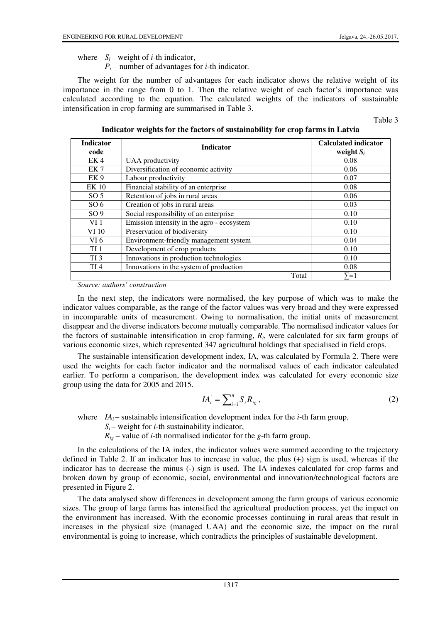where  $S_i$  – weight of *i*-th indicator,

 $P_i$  – number of advantages for *i*-th indicator.

The weight for the number of advantages for each indicator shows the relative weight of its importance in the range from 0 to 1. Then the relative weight of each factor's importance was calculated according to the equation. The calculated weights of the indicators of sustainable intensification in crop farming are summarised in Table 3.

Table 3

| Indicator weights for the factors of sustainability for crop farms in Latvia |                                            |                                      |  |  |  |
|------------------------------------------------------------------------------|--------------------------------------------|--------------------------------------|--|--|--|
| <b>Indicator</b><br>code                                                     | <b>Indicator</b>                           | Calculated indicator<br>weight $S_i$ |  |  |  |
| EK4                                                                          | UAA productivity                           | 0.08                                 |  |  |  |
| EK <sub>7</sub>                                                              | Diversification of economic activity       | 0.06                                 |  |  |  |
| EK <sub>9</sub>                                                              | Labour productivity                        | 0.07                                 |  |  |  |
| <b>EK10</b>                                                                  | Financial stability of an enterprise       | 0.08                                 |  |  |  |
| SO <sub>5</sub>                                                              | Retention of jobs in rural areas           | 0.06                                 |  |  |  |
| SO <sub>6</sub>                                                              | Creation of jobs in rural areas            | 0.03                                 |  |  |  |
| SO <sub>9</sub>                                                              | Social responsibility of an enterprise     | 0.10                                 |  |  |  |
| VI <sub>1</sub>                                                              | Emission intensity in the agro - ecosystem | 0.10                                 |  |  |  |
| VI 10                                                                        | Preservation of biodiversity               | 0.10                                 |  |  |  |
| VI 6                                                                         | Environment-friendly management system     | 0.04                                 |  |  |  |
| TI <sub>1</sub>                                                              | Development of crop products               | 0.10                                 |  |  |  |
| TI <sub>3</sub>                                                              | Innovations in production technologies     | 0.10                                 |  |  |  |

*Source: authors' construction*

In the next step, the indicators were normalised, the key purpose of which was to make the indicator values comparable, as the range of the factor values was very broad and they were expressed in incomparable units of measurement. Owing to normalisation, the initial units of measurement disappear and the diverse indicators become mutually comparable. The normalised indicator values for the factors of sustainable intensification in crop farming, *R<sup>i</sup>* , were calculated for six farm groups of various economic sizes, which represented 347 agricultural holdings that specialised in field crops.

TI 4 Innovations in the system of production 10.08

The sustainable intensification development index, IA, was calculated by Formula 2. There were used the weights for each factor indicator and the normalised values of each indicator calculated earlier. To perform a comparison, the development index was calculated for every economic size group using the data for 2005 and 2015.

$$
IA_i = \sum_{i=1}^n S_i R_{ig} \,, \tag{2}
$$

Total  $\sum = 1$ 

where  $IA_i$ – sustainable intensification development index for the *i*-th farm group,

 $S_i$  – weight for *i*-th sustainability indicator,

 $R_{ig}$  – value of *i*-th normalised indicator for the *g*-th farm group.

In the calculations of the IA index, the indicator values were summed according to the trajectory defined in Table 2. If an indicator has to increase in value, the plus (+) sign is used, whereas if the indicator has to decrease the minus (-) sign is used. The IA indexes calculated for crop farms and broken down by group of economic, social, environmental and innovation/technological factors are presented in Figure 2.

The data analysed show differences in development among the farm groups of various economic sizes. The group of large farms has intensified the agricultural production process, yet the impact on the environment has increased. With the economic processes continuing in rural areas that result in increases in the physical size (managed UAA) and the economic size, the impact on the rural environmental is going to increase, which contradicts the principles of sustainable development.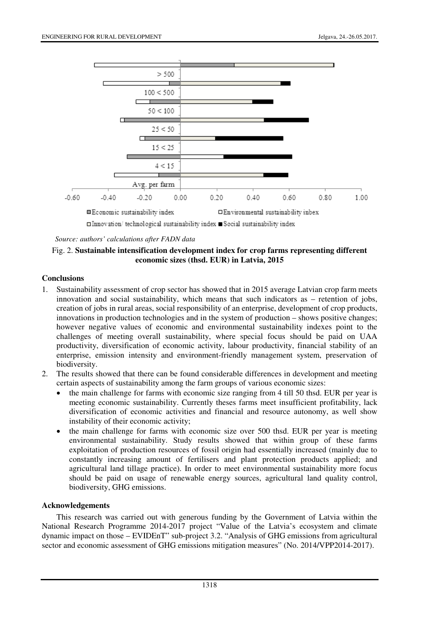

□ Innovation/ technological sustainability index ■ Social sustainability index

*Source: authors' calculations after FADN data* 

## Fig. 2. **Sustainable intensification development index for crop farms representing different economic sizes (thsd. EUR) in Latvia, 2015**

## **Conclusions**

- 1. Sustainability assessment of crop sector has showed that in 2015 average Latvian crop farm meets innovation and social sustainability, which means that such indicators as – retention of jobs, creation of jobs in rural areas, social responsibility of an enterprise, development of crop products, innovations in production technologies and in the system of production – shows positive changes; however negative values of economic and environmental sustainability indexes point to the challenges of meeting overall sustainability, where special focus should be paid on UAA productivity, diversification of economic activity, labour productivity, financial stability of an enterprise, emission intensity and environment-friendly management system, preservation of biodiversity.
- 2. The results showed that there can be found considerable differences in development and meeting certain aspects of sustainability among the farm groups of various economic sizes:
	- the main challenge for farms with economic size ranging from 4 till 50 thsd. EUR per year is meeting economic sustainability. Currently theses farms meet insufficient profitability, lack diversification of economic activities and financial and resource autonomy, as well show instability of their economic activity;
	- the main challenge for farms with economic size over 500 thsd. EUR per year is meeting environmental sustainability. Study results showed that within group of these farms exploitation of production resources of fossil origin had essentially increased (mainly due to constantly increasing amount of fertilisers and plant protection products applied; and agricultural land tillage practice). In order to meet environmental sustainability more focus should be paid on usage of renewable energy sources, agricultural land quality control, biodiversity, GHG emissions.

## **Acknowledgements**

This research was carried out with generous funding by the Government of Latvia within the National Research Programme 2014-2017 project "Value of the Latvia's ecosystem and climate dynamic impact on those – EVIDEnT" sub-project 3.2. "Analysis of GHG emissions from agricultural sector and economic assessment of GHG emissions mitigation measures" (No. 2014/VPP2014-2017).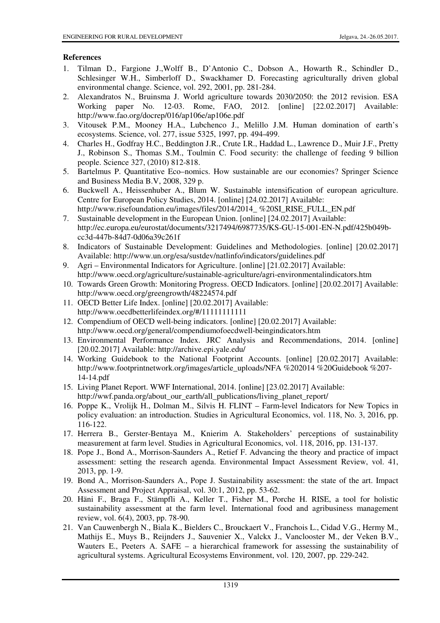# **References**

- 1. Tilman D., Fargione J.,Wolff B., D'Antonio C., Dobson A., Howarth R., Schindler D., Schlesinger W.H., Simberloff D., Swackhamer D. Forecasting agriculturally driven global environmental change. Science, vol. 292, 2001, pp. 281-284.
- 2. Alexandratos N., Bruinsma J. World agriculture towards 2030/2050: the 2012 revision. ESA Working paper No. 12-03. Rome, FAO, 2012. [online] [22.02.2017] Available: http://www.fao.org/docrep/016/ap106e/ap106e.pdf
- 3. Vitousek P.M., Mooney H.A., Lubchenco J., Melillo J.M. Human domination of earth's ecosystems. Science, vol. 277, issue 5325, 1997, pp. 494-499.
- 4. Charles H., Godfray H.C., Beddington J.R., Crute I.R., Haddad L., Lawrence D., Muir J.F., Pretty J., Robinson S., Thomas S.M., Toulmin C. Food security: the challenge of feeding 9 billion people. Science 327, (2010) 812-818.
- 5. Bartelmus P. Quantitative Eco–nomics. How sustainable are our economies? Springer Science and Business Media B.V, 2008, 329 p.
- 6. Buckwell A., Heissenhuber A., Blum W. Sustainable intensification of european agriculture. Centre for European Policy Studies, 2014. [online] [24.02.2017] Available: http://www.risefoundation.eu/images/files/2014/2014\_ %20SI\_RISE\_FULL\_EN.pdf
- 7. Sustainable development in the European Union. [online] [24.02.2017] Available: http://ec.europa.eu/eurostat/documents/3217494/6987735/KS-GU-15-001-EN-N.pdf/425b049bcc3d-447b-84d7-0d06a39c261f
- 8. Indicators of Sustainable Development: Guidelines and Methodologies. [online] [20.02.2017] Available: http://www.un.org/esa/sustdev/natlinfo/indicators/guidelines.pdf
- 9. Agri Environmental Indicators for Agriculture. [online] [21.02.2017] Available: http://www.oecd.org/agriculture/sustainable-agriculture/agri-environmentalindicators.htm
- 10. Towards Green Growth: Monitoring Progress. OECD Indicators. [online] [20.02.2017] Available: http://www.oecd.org/greengrowth/48224574.pdf
- 11. OECD Better Life Index. [online] [20.02.2017] Available: http://www.oecdbetterlifeindex.org/#/11111111111
- 12. Compendium of OECD well-being indicators. [online] [20.02.2017] Available: http://www.oecd.org/general/compendiumofoecdwell-beingindicators.htm
- 13. Environmental Performance Index. JRC Analysis and Recommendations, 2014. [online] [20.02.2017] Available: http://archive.epi.yale.edu/
- 14. Working Guidebook to the National Footprint Accounts. [online] [20.02.2017] Available: http://www.footprintnetwork.org/images/article\_uploads/NFA %202014 %20Guidebook %207- 14-14.pdf
- 15. Living Planet Report. WWF International, 2014. [online] [23.02.2017] Available: http://wwf.panda.org/about\_our\_earth/all\_publications/living\_planet\_report/
- 16. Poppe K., Vrolijk H., Dolman M., Silvis H. FLINT Farm-level Indicators for New Topics in policy evaluation: an introduction. Studies in Agricultural Economics, vol. 118, No. 3, 2016, pp. 116-122.
- 17. Herrera B., Gerster-Bentaya M., Knierim A. Stakeholders' perceptions of sustainability measurement at farm level. Studies in Agricultural Economics, vol. 118, 2016, pp. 131-137.
- 18. Pope J., Bond A., Morrison-Saunders A., Retief F. Advancing the theory and practice of impact assessment: setting the research agenda. Environmental Impact Assessment Review, vol. 41, 2013, pp. 1-9.
- 19. Bond A., Morrison-Saunders A., Pope J. Sustainability assessment: the state of the art. Impact Assessment and Project Appraisal, vol. 30:1, 2012, pp. 53-62.
- 20. Häni F., Braga F., Stämpfli A., Keller T., Fisher M., Porche H. RISE, a tool for holistic sustainability assessment at the farm level. International food and agribusiness management review, vol. 6(4), 2003, pp. 78-90.
- 21. Van Cauwenbergh N., Biala K., Bielders C., Brouckaert V., Franchois L., Cidad V.G., Hermy M., Mathijs E., Muys B., Reijnders J., Sauvenier X., Valckx J., Vanclooster M., der Veken B.V., Wauters E., Peeters A. SAFE – a hierarchical framework for assessing the sustainability of agricultural systems. Agricultural Ecosystems Environment, vol. 120, 2007, pp. 229-242.